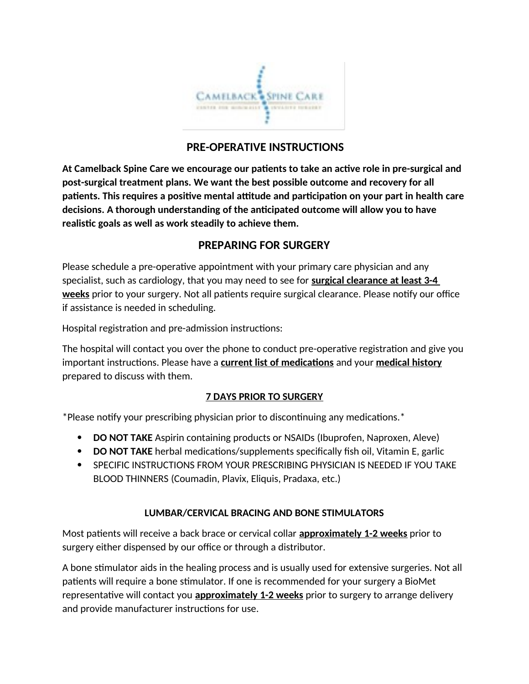

# **PRE-OPERATIVE INSTRUCTIONS**

**At Camelback Spine Care we encourage our patients to take an active role in pre-surgical and post-surgical treatment plans. We want the best possible outcome and recovery for all patients. This requires a positive mental attitude and participation on your part in health care decisions. A thorough understanding of the anticipated outcome will allow you to have realistic goals as well as work steadily to achieve them.** 

# **PREPARING FOR SURGERY**

Please schedule a pre-operative appointment with your primary care physician and any specialist, such as cardiology, that you may need to see for **surgical clearance at least 3-4 weeks** prior to your surgery. Not all patients require surgical clearance. Please notify our office if assistance is needed in scheduling.

Hospital registration and pre-admission instructions:

The hospital will contact you over the phone to conduct pre-operative registration and give you important instructions. Please have a **current list of medications** and your **medical history** prepared to discuss with them.

## **7 DAYS PRIOR TO SURGERY**

\*Please notify your prescribing physician prior to discontinuing any medications.\*

- **DO NOT TAKE** Aspirin containing products or NSAIDs (Ibuprofen, Naproxen, Aleve)
- **DO NOT TAKE** herbal medications/supplements specifically fish oil, Vitamin E, garlic
- **SPECIFIC INSTRUCTIONS FROM YOUR PRESCRIBING PHYSICIAN IS NEEDED IF YOU TAKE** BLOOD THINNERS (Coumadin, Plavix, Eliquis, Pradaxa, etc.)

## **LUMBAR/CERVICAL BRACING AND BONE STIMULATORS**

Most patients will receive a back brace or cervical collar **approximately 1-2 weeks** prior to surgery either dispensed by our office or through a distributor.

A bone stimulator aids in the healing process and is usually used for extensive surgeries. Not all patients will require a bone stimulator. If one is recommended for your surgery a BioMet representative will contact you **approximately 1-2 weeks** prior to surgery to arrange delivery and provide manufacturer instructions for use.